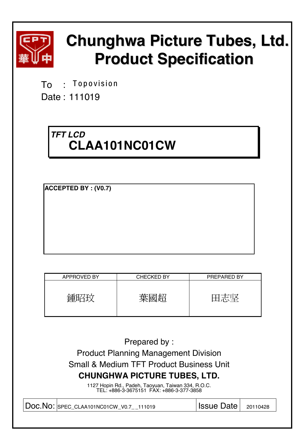

# **Chunghwa Picture Tubes, Ltd. Product Specification**

To : **Topovision** 

Date : 111019

# *TFT LCD*  **CLAA101NC01CW**

**ACCEPTED BY : (V0.7)**

| <b>APPROVED BY</b> | <b>CHECKED BY</b>  | PREPARED BY |
|--------------------|--------------------|-------------|
|                    | 苺<br>"千公<br>ਾਜਾਂਦਾ |             |

| Prepared by:                                                                                   |                   |          |
|------------------------------------------------------------------------------------------------|-------------------|----------|
| <b>Product Planning Management Division</b>                                                    |                   |          |
| <b>Small &amp; Medium TFT Product Business Unit</b>                                            |                   |          |
| <b>CHUNGHWA PICTURE TUBES, LTD.</b>                                                            |                   |          |
| 1127 Hopin Rd., Padeh, Taoyuan, Taiwan 334, R.O.C.<br>TEL: +886-3-3675151 FAX: +886-3-377-3858 |                   |          |
| DOC.NO: SPEC_CLAA101NC01CW_V0.7_111019                                                         | <b>Issue Date</b> | 20110428 |
|                                                                                                |                   |          |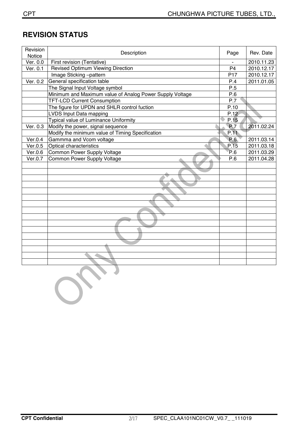# **REVISION STATUS**

| Revision<br>Notice | Description                                              | Page            | Rev. Date  |
|--------------------|----------------------------------------------------------|-----------------|------------|
| Ver. 0.0           | First revision (Tentative)                               |                 | 2010.11.23 |
| Ver. 0.1           | <b>Revised Optimum Viewing Direction</b>                 | P <sub>4</sub>  | 2010.12.17 |
|                    | Image Sticking-pattern                                   | P <sub>17</sub> | 2010.12.17 |
| Ver. 0.2           | General specification table                              | P.4             | 2011.01.05 |
|                    | The Signal Input Voltage symbol                          | P.5             |            |
|                    | Minimum and Maximum value of Analog Power Supply Voltage | P.6             |            |
|                    | <b>TFT-LCD Current Consumption</b>                       | P.7             |            |
|                    | The figure for UPDN and SHLR control fuction             | P.10            |            |
|                    | LVDS Input Data mapping                                  | P.12            |            |
|                    | Typical value of Luminance Uniformity                    | P.15            |            |
| Ver. 0.3           | Modify the power, signal sequence                        | <b>P.7</b>      | 2011.02.24 |
|                    | Modify the minimum value of Timing Specification         | P.11            |            |
| Ver.0.4            | Gammma and Vcom voltage                                  | P.6             | 2011.03.14 |
| Ver.0.5            | Optical characteristics                                  | P.15            | 2011.03.18 |
| Ver.0.6            | Common Power Supply Voltage                              | P.6             | 2011.03.29 |
| Ver.0.7            | Common Power Supply Voltage                              | P.6             | 2011.04.28 |
|                    |                                                          |                 |            |
|                    |                                                          |                 |            |
|                    |                                                          |                 |            |
|                    |                                                          |                 |            |
|                    |                                                          |                 |            |
|                    |                                                          |                 |            |
|                    |                                                          |                 |            |
|                    |                                                          |                 |            |
|                    |                                                          |                 |            |
|                    |                                                          |                 |            |
|                    |                                                          |                 |            |
|                    |                                                          |                 |            |
|                    |                                                          |                 |            |
|                    |                                                          |                 |            |
|                    |                                                          |                 |            |
|                    |                                                          |                 |            |
|                    |                                                          |                 |            |

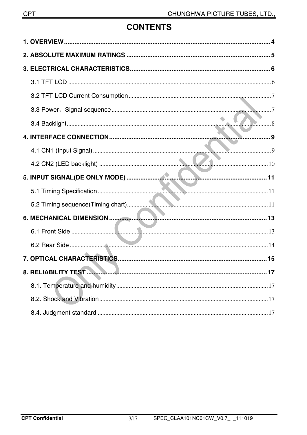# **CONTENTS**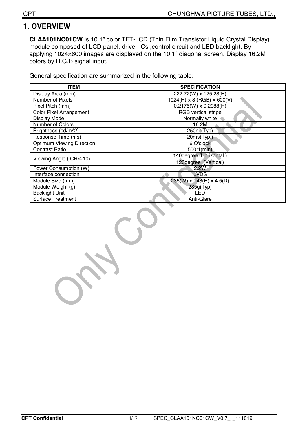### **1. OVERVIEW**

**CLAA101NC01CW** is 10.1" color TFT-LCD (Thin Film Transistor Liquid Crystal Display) module composed of LCD panel, driver ICs, control circuit and LED backlight. By applying 1024×600 images are displayed on the 10.1" diagonal screen. Display 16.2M colors by R.G.B signal input.

General specification are summarized in the following table:

| <b>ITEM</b>                      | <b>SPECIFICATION</b>                   |
|----------------------------------|----------------------------------------|
| Display Area (mm)                | 222.72(W) x 125.28(H)                  |
| Number of Pixels                 | $1024(H) \times 3 (RGB) \times 600(V)$ |
| Pixel Pitch (mm)                 | $0.2175(W) \times 0.2088(H)$           |
| Color Pixel Arrangement          | <b>RGB</b> vertical stripe             |
| Display Mode                     | Normally white                         |
| Number of Colors                 | 16.2M                                  |
| Brightness (cd/m^2)              | 250nit(Typ)                            |
| Response Time (ms)               | 20ms(Typ.)                             |
| <b>Optimum Viewing Direction</b> | 6 O'clock                              |
| <b>Contrast Ratio</b>            | $500:1$ (min)                          |
| Viewing Angle ( $CR \ge 10$ )    | 140degree (Horizontal.)                |
|                                  | 120degree (Vertical)                   |
| Power Consumption (W)            | 2.2W                                   |
| Interface connection             | <b>LVDS</b>                            |
| Module Size (mm)                 | $235(W)$ x 143(H) x 4.5(D)             |
| Module Weight (g)                | 285g(Typ)                              |
| <b>Backlight Unit</b>            | LED                                    |
| <b>Surface Treatment</b>         | Anti-Glare                             |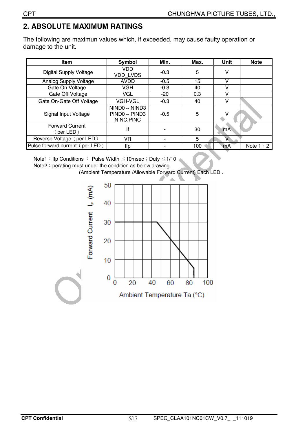# **2. ABSOLUTE MAXIMUM RATINGS**

The following are maximun values which, if exceeded, may cause faulty operation or damage to the unit.

| <b>Item</b>                         | Symbol                                                 | Min.   | Max. | Unit         | <b>Note</b>      |
|-------------------------------------|--------------------------------------------------------|--------|------|--------------|------------------|
| Digital Supply Voltage              | VDD.<br><b>VDD LVDS</b>                                | $-0.3$ | 5    | v            |                  |
| Analog Supply Voltage               | <b>AVDD</b>                                            | $-0.5$ | 15   | $\mathsf{V}$ |                  |
| Gate On Voltage                     | <b>VGH</b>                                             | $-0.3$ | 40   | v            |                  |
| Gate Off Voltage                    | VGL                                                    | $-20$  | 0.3  |              |                  |
| Gate On-Gate Off Voltage            | <b>VGH-VGL</b>                                         | $-0.3$ | 40   | v            |                  |
| Signal Input Voltage                | $NIND0 \sim NIND3$<br>$PIND0 \sim PIND3$<br>NINC, PINC | $-0.5$ | 5    | ٧            |                  |
| <b>Forward Current</b><br>(per LED) | lf                                                     |        | 30   | <b>mA</b>    |                  |
| Reverse Voltage (per LED)           | VR.                                                    |        | 5    | V            |                  |
| Pulse forward current (per LED)     | lfp                                                    |        | 100  | mA           | Note $1 \cdot 2$ |

Note1: Ifp Conditions : Pulse Width ≦10msec : Duty ≦1/10

Note2: perating must under the condition as below drawing.

(Ambient Temperature /Allowable Forward Current) Each LED .

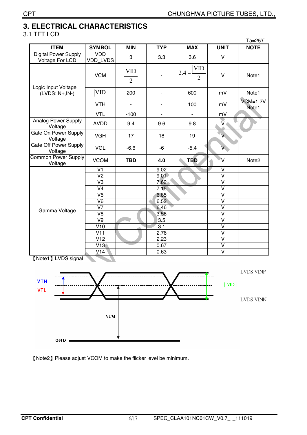# **3. ELECTRICAL CHARACTERISTICS**

### 3.1 TFT LCD

|                                                |                          |                              |                          |                                         |                         | Ta=25°C             |
|------------------------------------------------|--------------------------|------------------------------|--------------------------|-----------------------------------------|-------------------------|---------------------|
| <b>ITEM</b>                                    | <b>SYMBOL</b>            | <b>MIN</b>                   | <b>TYP</b>               | <b>MAX</b>                              | <b>UNIT</b>             | <b>NOTE</b>         |
| <b>Digital Power Supply</b><br>Voltage For LCD | <b>VDD</b><br>VDD_LVDS   | 3                            | 3.3                      | 3.6                                     | $\sf V$                 |                     |
|                                                | <b>VCM</b>               | <b>VID</b><br>$\overline{2}$ |                          | <b>VID</b><br>$2.4 -$<br>$\overline{2}$ | $\vee$                  | Note1               |
| Logic Input Voltage<br>$(LVDS:IN+,IN-)$        | <b>VID</b>               | 200                          | $\overline{\phantom{a}}$ | 600                                     | mV                      | Note1               |
|                                                | <b>VTH</b>               |                              |                          | 100                                     | mV                      | $VCM=1.2V$<br>Note1 |
|                                                | <b>VTL</b>               | $-100$                       | ä,                       | ä,                                      | mV                      |                     |
| <b>Analog Power Supply</b><br>Voltage          | <b>AVDD</b>              | 9.4                          | 9.6                      | 9.8                                     | $\check{\mathsf{V}}$    |                     |
| Gate On Power Supply<br>Voltage                | <b>VGH</b>               | 17                           | 18                       | 19                                      | $\overline{V}$          |                     |
| Gate Off Power Supply<br>Voltage               | <b>VGL</b>               | $-6.6$                       | -6                       | $-5.4$                                  | $\overline{V}$          |                     |
| Common Power Supply<br>Voltage                 | <b>VCOM</b>              | <b>TBD</b>                   | 4.0                      | <b>TBD</b>                              | ٧                       | Note <sub>2</sub>   |
|                                                | V <sub>1</sub>           |                              | 9.02                     |                                         | $\vee$                  |                     |
|                                                | V <sub>2</sub>           |                              | 9.01                     |                                         | $\mathsf{V}$            |                     |
|                                                | V <sub>3</sub>           |                              | 7.62                     |                                         | $\overline{\mathsf{v}}$ |                     |
|                                                | V <sub>4</sub>           |                              | 7.15                     |                                         | $\vee$                  |                     |
|                                                | V <sub>5</sub>           |                              | 6.85                     |                                         | $\mathsf{V}$            |                     |
|                                                | V6                       |                              | 6.52                     |                                         | $\overline{\mathsf{V}}$ |                     |
| Gamma Voltage                                  | V <sub>7</sub>           |                              | 6.46                     |                                         | $\overline{\mathsf{V}}$ |                     |
|                                                | V <sub>8</sub>           |                              | 3.58                     |                                         | $\vee$                  |                     |
|                                                | $\overline{\mathsf{V9}}$ |                              | 3.5                      |                                         | $\overline{\mathsf{v}}$ |                     |
|                                                | V10                      |                              | 3.1                      |                                         | V                       |                     |
|                                                | V11                      |                              | 2.76                     |                                         | $\overline{\mathsf{v}}$ |                     |
|                                                | V12                      |                              | 2.23                     |                                         | $\overline{\mathsf{V}}$ |                     |
|                                                | V13(                     |                              | 0.67                     |                                         | $\vee$                  |                     |
|                                                | V14                      |                              | 0.63                     |                                         | $\overline{\mathsf{v}}$ |                     |

[Note1] LVDS signal



[Note2] Please adjust VCOM to make the flicker level be minimum.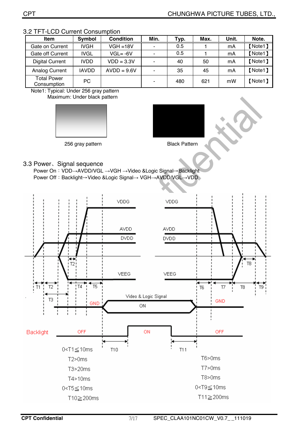| <b>Item</b>                       | Symbol       | <b>Condition</b> | Min.           | Typ. | Max. | Unit. | Note.   |
|-----------------------------------|--------------|------------------|----------------|------|------|-------|---------|
| Gate on Current                   | <b>IVGH</b>  | $VGH = 18V$      |                | 0.5  |      | mA    | [Note1] |
| Gate off Current                  | <b>IVGL</b>  | $VGL = -6V$      | ۰              | 0.5  |      | mA    | [Note1] |
| <b>Digital Current</b>            | <b>IVDD</b>  | $VDD = 3.3V$     | $\blacksquare$ | 40   | 50   | mA    | [Note1] |
| Analog Current                    | <b>IAVDD</b> | $AVDD = 9.6V$    |                | 35   | 45   | mA    | [Note1] |
| <b>Total Power</b><br>Consumption | <b>PC</b>    |                  | -              | 480  | 621  | mW    | [Note1] |

#### 3.2 TFT-LCD Current Consumption

Note1: Typical: Under 256 gray pattern Maximum: Under black pattern



256 gray pattern **Black Pattern** 

#### 3.3 Power、Signal sequence

Power On: VDD→AVDD/VGL →VGH →Video &Logic Signal→Backlight Power Off: Backlight→Video &Logic Signal→ VGH→AVDD/VGL→VDD

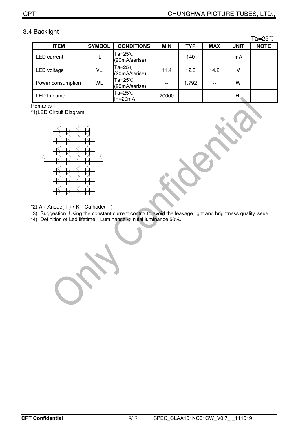### 3.4 Backlight

 $Ta-25^\circ C$ 

|                     |               |                                  |            |            |            |             | ∟ ت∠–cu     |
|---------------------|---------------|----------------------------------|------------|------------|------------|-------------|-------------|
| <b>ITEM</b>         | <b>SYMBOL</b> | <b>CONDITIONS</b>                | <b>MIN</b> | <b>TYP</b> | <b>MAX</b> | <b>UNIT</b> | <b>NOTE</b> |
| <b>LED</b> current  | IL            | Ta=25℃<br>(20mA/serise)          | $- -$      | 140        | $- -$      | mA          |             |
| LED voltage         | VL            | $Ta=25^{\circ}$<br>(20mA/serise) | 11.4       | 12.8       | 14.2       | v           |             |
| Power consumption   | WL            | Ta=25℃<br>(20mA/serise)          |            | 1.792      | --         | w           |             |
| <b>LED Lifetime</b> | ۰             | Ta=25℃<br>$IF = 20mA$            | 20000      |            |            | Hr          |             |

Remarks:

\*1)LED Circuit Diagram



\*2)  $A:$  Anode( $+)$ ,  $K:$  Cathode( $-)$ 

\*3) Suggestion: Using the constant current control to avoid the leakage light and brightness quality issue.

\*4) Definition of Led lifetime: Luminance < Initial luminance 50%.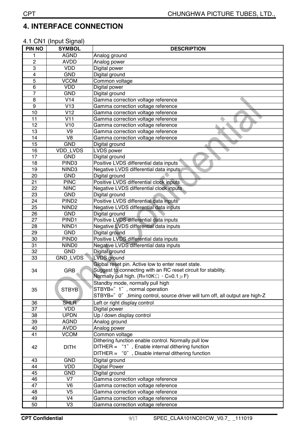# **4. INTERFACE CONNECTION**

### 4.1 CN1 (Input Signal)

| <b>PIN NO</b>  | <b>SYMBOL</b>            | <b>DESCRIPTION</b>                                                                                       |  |  |  |
|----------------|--------------------------|----------------------------------------------------------------------------------------------------------|--|--|--|
| 1              | <b>AGND</b>              | Analog ground                                                                                            |  |  |  |
| $\overline{c}$ | <b>AVDD</b>              | Analog power                                                                                             |  |  |  |
| 3              | <b>VDD</b>               | Digital power                                                                                            |  |  |  |
| 4              | <b>GND</b>               | Digital ground                                                                                           |  |  |  |
| 5              | <b>VCOM</b>              | Common voltage                                                                                           |  |  |  |
| 6              | <b>VDD</b>               | Digital power                                                                                            |  |  |  |
| 7              | <b>GND</b>               | Digital ground                                                                                           |  |  |  |
| 8              | V14                      | Gamma correction voltage reference                                                                       |  |  |  |
| 9              | V13                      | Gamma correction voltage reference                                                                       |  |  |  |
| 10             | V12                      | Gamma correction voltage reference                                                                       |  |  |  |
| 11             | V11                      | Gamma correction voltage reference                                                                       |  |  |  |
| 12             | V10                      | Gamma correction voltage reference                                                                       |  |  |  |
| 13             | V <sub>9</sub>           | Gamma correction voltage reference                                                                       |  |  |  |
| 14             | V <sub>8</sub>           | Gamma correction voltage reference                                                                       |  |  |  |
| 15             | <b>GND</b>               | Digital ground                                                                                           |  |  |  |
| 16             | VDD_LVDS                 | <b>LVDS</b> power                                                                                        |  |  |  |
| 17             | <b>GND</b>               | Digital ground                                                                                           |  |  |  |
| 18             | PIND <sub>3</sub>        | Positive LVDS differential data inputs                                                                   |  |  |  |
| 19             | NIND3                    | Negative LVDS differential data inputs                                                                   |  |  |  |
| 20             | <b>GND</b>               | Digital ground                                                                                           |  |  |  |
| 21             | <b>PINC</b>              | Positive LVDS differential clock inputs                                                                  |  |  |  |
| 22             | <b>NINC</b>              | Negative LVDS differential clock inputs                                                                  |  |  |  |
| 23             | <b>GND</b>               | Digital ground                                                                                           |  |  |  |
| 24             | PIND <sub>2</sub>        | Positive LVDS differential data inputs                                                                   |  |  |  |
| 25             | NIND <sub>2</sub>        | Negative LVDS differential data inputs                                                                   |  |  |  |
| 26             | <b>GND</b>               | Digital ground                                                                                           |  |  |  |
| 27             | PIND <sub>1</sub>        | Positive LVDS differential data inputs                                                                   |  |  |  |
| 28             | NIND1                    | Negative LVDS differential data inputs                                                                   |  |  |  |
| 29             | <b>GND</b>               | Digital ground                                                                                           |  |  |  |
| 30             | PIND <sub>0</sub>        | Positive LVDS differential data inputs                                                                   |  |  |  |
| 31             | NIND <sub>0</sub>        | Negative LVDS differential data inputs                                                                   |  |  |  |
| 32             | <b>GND</b>               | Digital ground                                                                                           |  |  |  |
| 33             | GND_LVDS                 | <b>LVDS</b> ground                                                                                       |  |  |  |
|                |                          | Global reset pin. Active low to enter reset state.                                                       |  |  |  |
| 34             | GRB                      | Suggest to connecting with an RC reset circuit for stability.                                            |  |  |  |
|                |                          | Normally pull high. (R=10K $\Omega$ , C=0.1 $\mu$ F)                                                     |  |  |  |
|                |                          | Standby mode, normally pull high                                                                         |  |  |  |
| 35             | <b>STBYB</b>             | STBYB=" 1", normal operation                                                                             |  |  |  |
|                |                          | STBYB=" 0", timing control, source driver will turn off, all output are high-Z                           |  |  |  |
| 36             | <b>SHLR</b>              | Left or right display control                                                                            |  |  |  |
| 37             | <b>VDD</b>               | Digital power                                                                                            |  |  |  |
| 38             | <b>UPDN</b>              | Up / down display control                                                                                |  |  |  |
| 39             | <b>AGND</b>              | Analog ground                                                                                            |  |  |  |
| 40             | <b>AVDD</b>              | Analog power                                                                                             |  |  |  |
| 41             | <b>VCOM</b>              | Common voltage                                                                                           |  |  |  |
|                |                          | Dithering function enable control. Normally pull low<br>DITHER = "1", Enable internal dithering function |  |  |  |
| 42             | <b>DITH</b>              | DITHER = "0", Disable internal dithering function                                                        |  |  |  |
|                |                          |                                                                                                          |  |  |  |
| 43             | <b>GND</b>               | Digital ground                                                                                           |  |  |  |
| 44             | <b>VDD</b>               | <b>Digital Power</b>                                                                                     |  |  |  |
| 45             | <b>GND</b>               | Digital ground                                                                                           |  |  |  |
| 46             | V7                       | Gamma correction voltage reference                                                                       |  |  |  |
| 47             | V <sub>6</sub>           | Gamma correction voltage reference                                                                       |  |  |  |
| 48             | V <sub>5</sub>           | Gamma correction voltage reference                                                                       |  |  |  |
| 49             | $\overline{\mathsf{V4}}$ | Gamma correction voltage reference                                                                       |  |  |  |
| 50             | V <sub>3</sub>           | Gamma correction voltage reference                                                                       |  |  |  |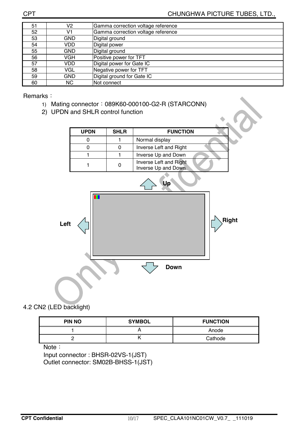| 51 | V2  | Gamma correction voltage reference |  |
|----|-----|------------------------------------|--|
| 52 | V1  | Gamma correction voltage reference |  |
| 53 | GND | Digital ground                     |  |
| 54 | VDD | Digital power                      |  |
| 55 | GND | Digital ground                     |  |
| 56 | VGH | Positive power for TFT             |  |
| 57 | VDD | Digital power for Gate IC          |  |
| 58 | VGL | Negative power for TFT             |  |
| 59 | GND | Digital ground for Gate IC         |  |
| 60 | NC. | Not connect                        |  |

Remarks:

- 1) Mating connector: 089K60-000100-G2-R (STARCONN)
- 2) UPDN and SHLR control function

| <b>UPDN</b> | <b>SHLR</b> | <b>FUNCTION</b>                               |
|-------------|-------------|-----------------------------------------------|
|             |             | Normal display                                |
|             |             | Inverse Left and Right                        |
|             |             | Inverse Up and Down                           |
|             |             | Inverse Left and Right<br>Inverse Up and Down |



4.2 CN2 (LED backlight)

| <b>PIN NO</b> | <b>SYMBOL</b> | <b>FUNCTION</b> |
|---------------|---------------|-----------------|
|               | . .           | Anode           |
|               | יי            | Cathode         |

Note:

Input connector : BHSR-02VS-1(JST) Outlet connector: SM02B-BHSS-1(JST)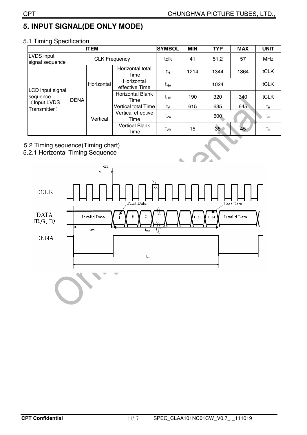# **5. INPUT SIGNAL(DE ONLY MODE)**

| <b>ITEM</b>                                                 |                      |            |                                 | <b>SYMBOL</b>   | <b>MIN</b> | <b>TYP</b>      | <b>MAX</b> | <b>UNIT</b> |
|-------------------------------------------------------------|----------------------|------------|---------------------------------|-----------------|------------|-----------------|------------|-------------|
| LVDS input<br>signal sequence                               | <b>CLK Frequency</b> |            |                                 | tclk            | 41         | 51.2            | 57         | <b>MHz</b>  |
| LCD input signal<br>sequence<br>(Input LVDS<br>Transmitter) | <b>DENA</b>          | Horizontal | Horizontal total<br>Time        | $t_H$           | 1214       | 1344            | 1364       | tCLK        |
|                                                             |                      |            | Horizontal<br>effective Time    | t <sub>HA</sub> | 1024       |                 |            | tCLK        |
|                                                             |                      |            | <b>Horizontal Blank</b><br>Time | t <sub>HB</sub> | 190        | 320             | 340        | tCLK        |
|                                                             |                      | Vertical   | Vertical total Time             | $t_{\rm V}$     | 615        | 635             | 645        | $t_{H}$     |
|                                                             |                      |            | Vertical effective<br>Time      | t <sub>VA</sub> | 600        |                 |            | $t_H$       |
|                                                             |                      |            | <b>Vertical Blank</b><br>Time   | t <sub>vB</sub> | 15         | 35 <sub>1</sub> | 45         | tн          |

### 5.1 Timing Specification

- 5.2 Timing sequence(Timing chart)
- 5.2.1 Horizontal Timing Sequence

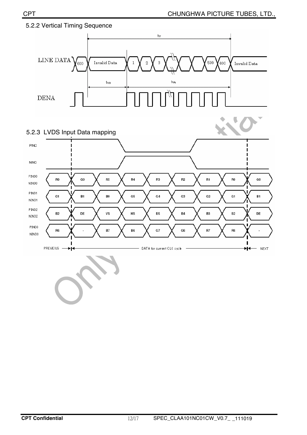

### 5.2.2 Vertical Timing Sequence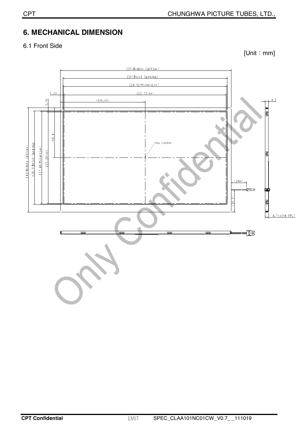# **6. MECHANICAL DIMENSION**

### 6.1 Front Side

 $[Unit : mm]$ 

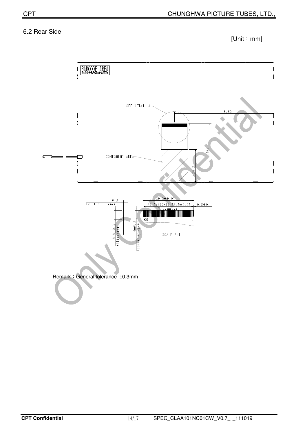### 6.2 Rear Side

 $[Unit : mm]$ 

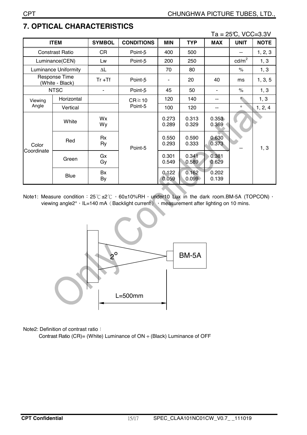|                                  |                             |               |                   |                |                |                | $Ta = 25C$ , $VCC = 3.3V$ |             |
|----------------------------------|-----------------------------|---------------|-------------------|----------------|----------------|----------------|---------------------------|-------------|
| <b>ITEM</b>                      |                             | <b>SYMBOL</b> | <b>CONDITIONS</b> | <b>MIN</b>     | <b>TYP</b>     | <b>MAX</b>     | <b>UNIT</b>               | <b>NOTE</b> |
|                                  | <b>Constrast Ratio</b>      | CR            | Point-5           | 400            | 500            |                | --                        | 1, 2, 3     |
|                                  | Luminance(CEN)              | Lw            | Point-5           | 200            | 250            |                | $\text{cd/m}^2$           | 1, 3        |
|                                  | <b>Luminance Uniformity</b> | ΔL            |                   | 70             | 80             |                | $\%$                      | 1, 3        |
| Response Time<br>(White - Black) |                             | $Tr + Tf$     | Point-5           | ۰              | 20             | 40             | ms                        | 1, 3, 5     |
|                                  | <b>NTSC</b>                 |               | Point-5           | 45             | 50             |                | $\%$                      | 1, 3        |
| Viewing<br>Angle                 | Horizontal                  |               | $CR \ge 10$       | 120            | 140            | --             | $\circ$                   | 1, 3        |
|                                  | Vertical                    |               | Point-5           | 100            | 120            | --             | $\circ$                   | 1, 2, 4     |
| Color<br>Coordinate              | White                       | Wx<br>Wy      |                   | 0.273<br>0.289 | 0.313<br>0.329 | 0.353<br>0.369 |                           |             |
|                                  | Red                         | Rx<br>Ry      | Point-5           | 0.550<br>0.293 | 0.590<br>0.333 | 0.630<br>0.373 |                           | 1, 3        |
|                                  | Green                       | Gx<br>Gy      |                   | 0.301<br>0.549 | 0.341<br>0.589 | 0.381<br>0.629 |                           |             |
|                                  | Blue                        | Bx<br>By      |                   | 0.122<br>0.059 | 0.162<br>0.099 | 0.202<br>0.139 |                           |             |

# **7. OPTICAL CHARACTERISTICS**

Note1: Measure condition: 25°C ±2°C · 60±10%RH · under10 Lux in the dark room.BM-5A (TOPCON) · viewing angle2°, IL=140 mA (Backlight current), measurement after lighting on 10 mins.



Note2: Definition of contrast ratio:

Contrast Ratio (CR)= (White) Luminance of ON ÷ (Black) Luminance of OFF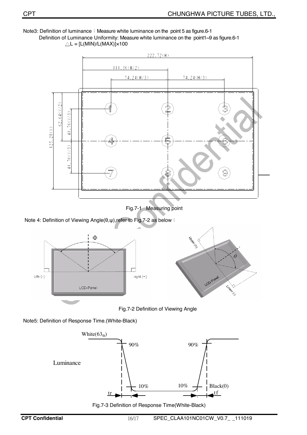Note3: Definition of luminance: Measure white luminance on the point 5 as figure.6-1 Definition of Luminance Uniformity: Measure white luminance on the point1~9 as figure.6-1



Fig.7-1 Measuring point

Note 4: Definition of Viewing Angle(θ,ψ), refer to Fig.7-2 as below :



Fig.7-2 Definition of Viewing Angle

Note5: Definition of Response Time.(White-Black)



Fig.7-3 Definition of Response Time(White-Black)